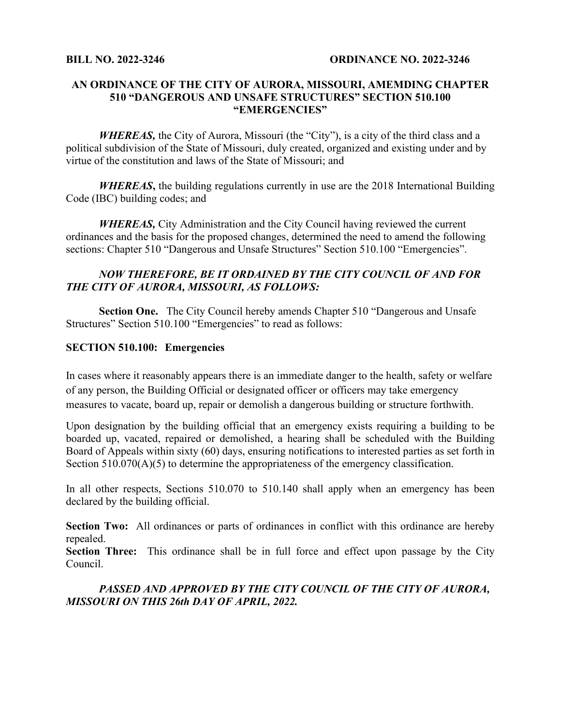## **AN ORDINANCE OF THE CITY OF AURORA, MISSOURI, AMEMDING CHAPTER 510 "DANGEROUS AND UNSAFE STRUCTURES" SECTION 510.100 "EMERGENCIES"**

*WHEREAS*, the City of Aurora, Missouri (the "City"), is a city of the third class and a political subdivision of the State of Missouri, duly created, organized and existing under and by virtue of the constitution and laws of the State of Missouri; and

*WHEREAS***,** the building regulations currently in use are the 2018 International Building Code (IBC) building codes; and

*WHEREAS,* City Administration and the City Council having reviewed the current ordinances and the basis for the proposed changes, determined the need to amend the following sections: Chapter 510 "Dangerous and Unsafe Structures" Section 510.100 "Emergencies".

## *NOW THEREFORE, BE IT ORDAINED BY THE CITY COUNCIL OF AND FOR THE CITY OF AURORA, MISSOURI, AS FOLLOWS:*

**Section One.** The City Council hereby amends Chapter 510 "Dangerous and Unsafe Structures" Section 510.100 "Emergencies" to read as follows:

## **SECTION 510.100: Emergencies**

In cases where it reasonably appears there is an immediate danger to the health, safety or welfare of any person, the Building Official or designated officer or officers may take emergency measures to vacate, board up, repair or demolish a dangerous building or structure forthwith.

Upon designation by the building official that an emergency exists requiring a building to be boarded up, vacated, repaired or demolished, a hearing shall be scheduled with the Building Board of Appeals within sixty (60) days, ensuring notifications to interested parties as set forth in Section 510.070(A)(5) to determine the appropriateness of the emergency classification.

In all other respects, Sections 510.070 to 510.140 shall apply when an emergency has been declared by the building official.

**Section Two:** All ordinances or parts of ordinances in conflict with this ordinance are hereby repealed.

**Section Three:** This ordinance shall be in full force and effect upon passage by the City Council.

## *PASSED AND APPROVED BY THE CITY COUNCIL OF THE CITY OF AURORA, MISSOURI ON THIS 26th DAY OF APRIL, 2022.*